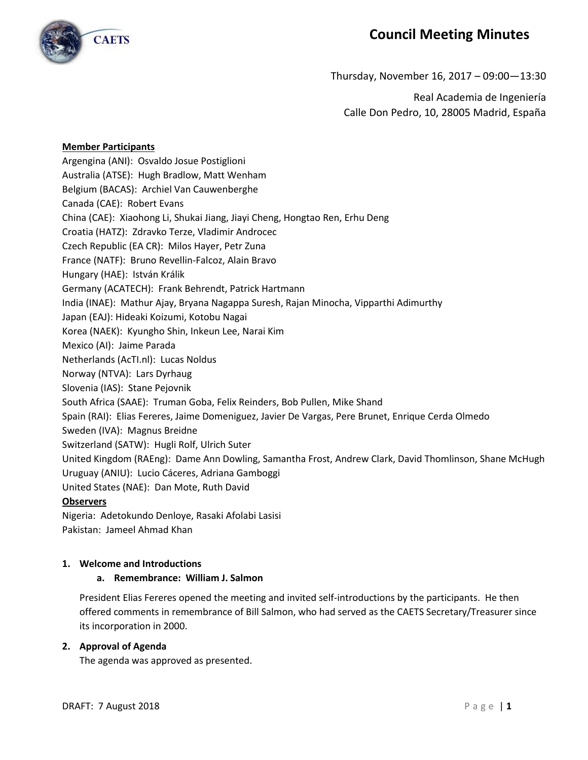

# **Council Meeting Minutes**

Thursday, November 16, 2017 – 09:00—13:30

Real Academia de Ingeniería Calle Don Pedro, 10, 28005 Madrid, España

#### **Member Participants**

Argengina (ANI): Osvaldo Josue Postiglioni Australia (ATSE): Hugh Bradlow, Matt Wenham Belgium (BACAS): Archiel Van Cauwenberghe Canada (CAE): Robert Evans China (CAE): Xiaohong Li, Shukai Jiang, Jiayi Cheng, Hongtao Ren, Erhu Deng Croatia (HATZ): Zdravko Terze, Vladimir Androcec Czech Republic (EA CR): Milos Hayer, Petr Zuna France (NATF): Bruno Revellin-Falcoz, Alain Bravo Hungary (HAE): István Králik Germany (ACATECH): Frank Behrendt, Patrick Hartmann India (INAE): Mathur Ajay, Bryana Nagappa Suresh, Rajan Minocha, Vipparthi Adimurthy Japan (EAJ): Hideaki Koizumi, Kotobu Nagai Korea (NAEK): Kyungho Shin, Inkeun Lee, Narai Kim Mexico (AI): Jaime Parada Netherlands (AcTI.nl): Lucas Noldus Norway (NTVA): Lars Dyrhaug Slovenia (IAS): Stane Pejovnik South Africa (SAAE): Truman Goba, Felix Reinders, Bob Pullen, Mike Shand Spain (RAI): Elias Fereres, Jaime Domeniguez, Javier De Vargas, Pere Brunet, Enrique Cerda Olmedo Sweden (IVA): Magnus Breidne Switzerland (SATW): Hugli Rolf, Ulrich Suter United Kingdom (RAEng): Dame Ann Dowling, Samantha Frost, Andrew Clark, David Thomlinson, Shane McHugh Uruguay (ANIU): Lucio Cáceres, Adriana Gamboggi United States (NAE): Dan Mote, Ruth David **Observers**

Nigeria: Adetokundo Denloye, Rasaki Afolabi Lasisi Pakistan: Jameel Ahmad Khan

#### **1. Welcome and Introductions**

## **a. Remembrance: William J. Salmon**

President Elias Fereres opened the meeting and invited self-introductions by the participants. He then offered comments in remembrance of Bill Salmon, who had served as the CAETS Secretary/Treasurer since its incorporation in 2000.

#### **2. Approval of Agenda**

The agenda was approved as presented.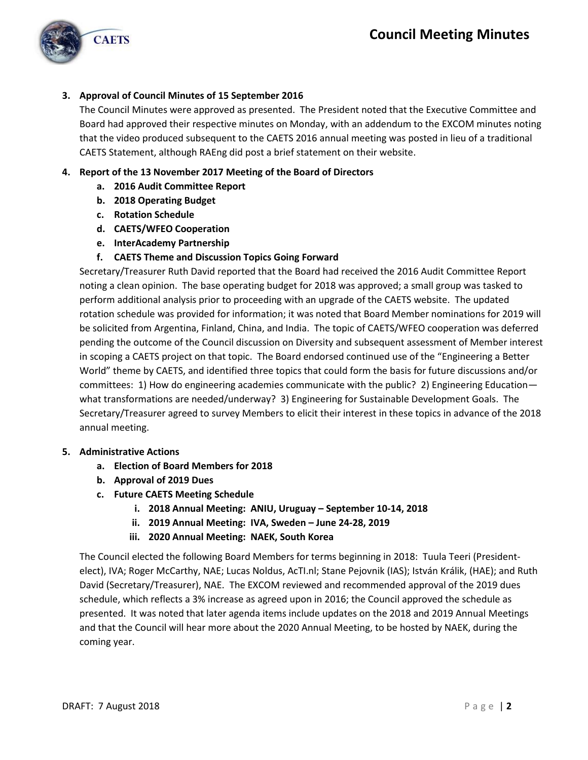

# **3. Approval of Council Minutes of 15 September 2016**

The Council Minutes were approved as presented. The President noted that the Executive Committee and Board had approved their respective minutes on Monday, with an addendum to the EXCOM minutes noting that the video produced subsequent to the CAETS 2016 annual meeting was posted in lieu of a traditional CAETS Statement, although RAEng did post a brief statement on their website.

## **4. Report of the 13 November 2017 Meeting of the Board of Directors**

- **a. 2016 Audit Committee Report**
- **b. 2018 Operating Budget**
- **c. Rotation Schedule**
- **d. CAETS/WFEO Cooperation**
- **e. InterAcademy Partnership**
- **f. CAETS Theme and Discussion Topics Going Forward**

Secretary/Treasurer Ruth David reported that the Board had received the 2016 Audit Committee Report noting a clean opinion. The base operating budget for 2018 was approved; a small group was tasked to perform additional analysis prior to proceeding with an upgrade of the CAETS website. The updated rotation schedule was provided for information; it was noted that Board Member nominations for 2019 will be solicited from Argentina, Finland, China, and India. The topic of CAETS/WFEO cooperation was deferred pending the outcome of the Council discussion on Diversity and subsequent assessment of Member interest in scoping a CAETS project on that topic. The Board endorsed continued use of the "Engineering a Better World" theme by CAETS, and identified three topics that could form the basis for future discussions and/or committees: 1) How do engineering academies communicate with the public? 2) Engineering Education what transformations are needed/underway? 3) Engineering for Sustainable Development Goals. The Secretary/Treasurer agreed to survey Members to elicit their interest in these topics in advance of the 2018 annual meeting.

#### **5. Administrative Actions**

- **a. Election of Board Members for 2018**
- **b. Approval of 2019 Dues**
- **c. Future CAETS Meeting Schedule**
	- **i. 2018 Annual Meeting: ANIU, Uruguay – September 10-14, 2018**
	- **ii. 2019 Annual Meeting: IVA, Sweden – June 24-28, 2019**
	- **iii. 2020 Annual Meeting: NAEK, South Korea**

The Council elected the following Board Members for terms beginning in 2018: Tuula Teeri (Presidentelect), IVA; Roger McCarthy, NAE; Lucas Noldus, AcTI.nl; Stane Pejovnik (IAS); István Králik, (HAE); and Ruth David (Secretary/Treasurer), NAE. The EXCOM reviewed and recommended approval of the 2019 dues schedule, which reflects a 3% increase as agreed upon in 2016; the Council approved the schedule as presented. It was noted that later agenda items include updates on the 2018 and 2019 Annual Meetings and that the Council will hear more about the 2020 Annual Meeting, to be hosted by NAEK, during the coming year.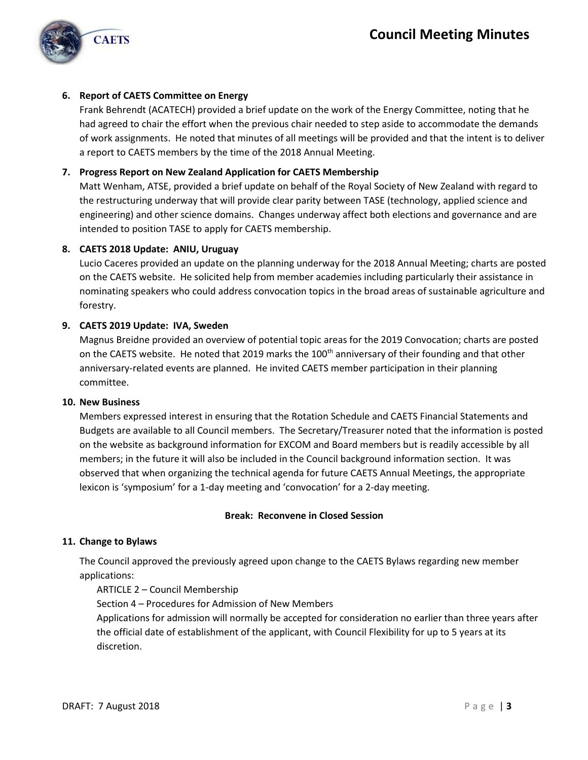

## **6. Report of CAETS Committee on Energy**

Frank Behrendt (ACATECH) provided a brief update on the work of the Energy Committee, noting that he had agreed to chair the effort when the previous chair needed to step aside to accommodate the demands of work assignments. He noted that minutes of all meetings will be provided and that the intent is to deliver a report to CAETS members by the time of the 2018 Annual Meeting.

## **7. Progress Report on New Zealand Application for CAETS Membership**

Matt Wenham, ATSE, provided a brief update on behalf of the Royal Society of New Zealand with regard to the restructuring underway that will provide clear parity between TASE (technology, applied science and engineering) and other science domains. Changes underway affect both elections and governance and are intended to position TASE to apply for CAETS membership.

#### **8. CAETS 2018 Update: ANIU, Uruguay**

Lucio Caceres provided an update on the planning underway for the 2018 Annual Meeting; charts are posted on the CAETS website. He solicited help from member academies including particularly their assistance in nominating speakers who could address convocation topics in the broad areas of sustainable agriculture and forestry.

## **9. CAETS 2019 Update: IVA, Sweden**

Magnus Breidne provided an overview of potential topic areas for the 2019 Convocation; charts are posted on the CAETS website. He noted that 2019 marks the 100<sup>th</sup> anniversary of their founding and that other anniversary-related events are planned. He invited CAETS member participation in their planning committee.

#### **10. New Business**

Members expressed interest in ensuring that the Rotation Schedule and CAETS Financial Statements and Budgets are available to all Council members. The Secretary/Treasurer noted that the information is posted on the website as background information for EXCOM and Board members but is readily accessible by all members; in the future it will also be included in the Council background information section. It was observed that when organizing the technical agenda for future CAETS Annual Meetings, the appropriate lexicon is 'symposium' for a 1-day meeting and 'convocation' for a 2-day meeting.

#### **Break: Reconvene in Closed Session**

#### **11. Change to Bylaws**

The Council approved the previously agreed upon change to the CAETS Bylaws regarding new member applications:

#### ARTICLE 2 – Council Membership

Section 4 – Procedures for Admission of New Members

Applications for admission will normally be accepted for consideration no earlier than three years after the official date of establishment of the applicant, with Council Flexibility for up to 5 years at its discretion.